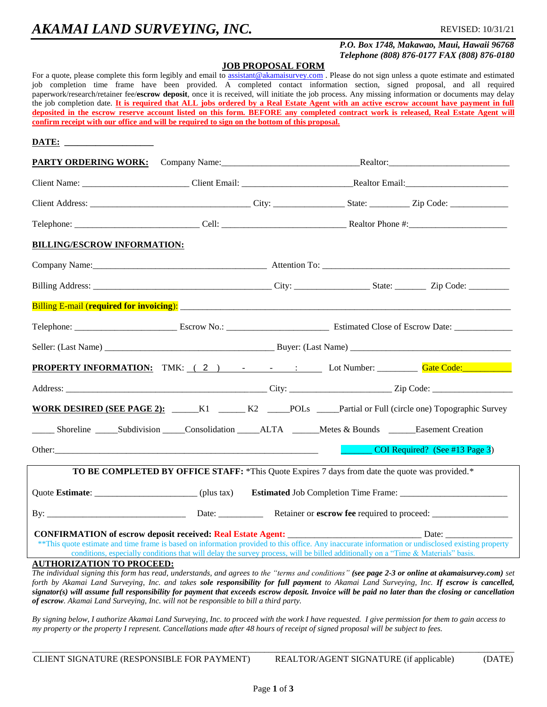## *P.O. Box 1748, Makawao, Maui, Hawaii 96768 Telephone (808) 876-0177 FAX (808) 876-0180*

#### **JOB PROPOSAL FORM**

For a quote, please complete this form legibly and email to [assistant@akamaisurvey.com](mailto:assistant@akamaisurvey.com). Please do not sign unless a quote estimate and estimated job completion time frame have been provided. A completed contact information section, signed proposal, and all required paperwork/research/retainer fee/**escrow deposit**, once it is received, will initiate the job process. Any missing information or documents may delay the job completion date. **It is required that ALL jobs ordered by a Real Estate Agent with an active escrow account have payment in full deposited in the escrow reserve account listed on this form. BEFORE any completed contract work is released, Real Estate Agent will confirm receipt with our office and will be required to sign on the bottom of this proposal.**

### **DATE: \_\_\_\_\_\_\_\_\_\_\_\_\_\_\_\_\_\_\_\_**

| BILLING/ESCROW INFORMATION:                                                                                                                                                           |                                                                                                                                  |  |  |                                |
|---------------------------------------------------------------------------------------------------------------------------------------------------------------------------------------|----------------------------------------------------------------------------------------------------------------------------------|--|--|--------------------------------|
|                                                                                                                                                                                       |                                                                                                                                  |  |  |                                |
|                                                                                                                                                                                       |                                                                                                                                  |  |  |                                |
|                                                                                                                                                                                       |                                                                                                                                  |  |  |                                |
|                                                                                                                                                                                       |                                                                                                                                  |  |  |                                |
|                                                                                                                                                                                       |                                                                                                                                  |  |  |                                |
| PROPERTY INFORMATION: TMK: (2) - - - : Lot Number: Gate Code: Code:                                                                                                                   |                                                                                                                                  |  |  |                                |
|                                                                                                                                                                                       |                                                                                                                                  |  |  |                                |
| WORK DESIRED (SEE PAGE 2): _____K1 _____ K2 ____POLs ____Partial or Full (circle one) Topographic Survey                                                                              |                                                                                                                                  |  |  |                                |
|                                                                                                                                                                                       |                                                                                                                                  |  |  |                                |
|                                                                                                                                                                                       |                                                                                                                                  |  |  | COI Required? (See #13 Page 3) |
|                                                                                                                                                                                       | <b>TO BE COMPLETED BY OFFICE STAFF:</b> *This Quote Expires 7 days from date the quote was provided.*                            |  |  |                                |
|                                                                                                                                                                                       |                                                                                                                                  |  |  |                                |
|                                                                                                                                                                                       |                                                                                                                                  |  |  |                                |
| **This quote estimate and time frame is based on information provided to this office. Any inaccurate information or undisclosed existing property                                     | conditions, especially conditions that will delay the survey process, will be billed additionally on a "Time & Materials" basis. |  |  |                                |
| <b>AUTHORIZATION TO PROCEED:</b><br>The individual signing this form has read, understands, and agrees to the "terms and conditions" (see page 2-3 or online at akamaisurvey.com) set |                                                                                                                                  |  |  |                                |
| forth by Akamai Land Surveying. Inc. and takes sole responsibility for full nayment to Akamai Land Surveying. Inc. If escrow is cancelled.                                            |                                                                                                                                  |  |  |                                |

*forth by Akamai Land Surveying, Inc. and takes sole responsibility for full payment to Akamai Land Surveying, Inc. If escrow is cancelled, signator(s) will assume full responsibility for payment that exceeds escrow deposit. Invoice will be paid no later than the closing or cancellation of escrow. Akamai Land Surveying, Inc. will not be responsible to bill a third party.* 

*By signing below, I authorize Akamai Land Surveying, Inc. to proceed with the work I have requested. I give permission for them to gain access to my property or the property I represent. Cancellations made after 48 hours of receipt of signed proposal will be subject to fees.*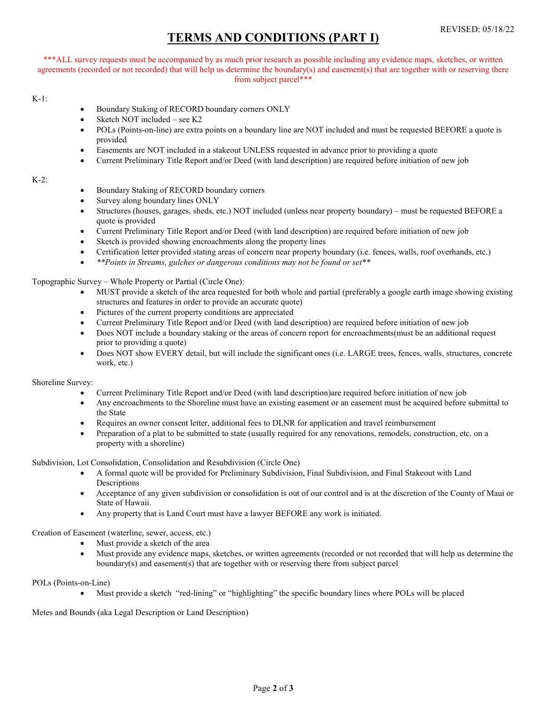# TERMS AND CONDITIONS (PART I)

\*\*\*ALL survey requests must be accompanied by as much prior research as possible including any evidence maps, sketches, or written agreements (recorded or not recorded) that will help us determine the boundary(s) and easement(s) that are together with or reserving there from subject parcel\*\*\*

#### K-1:

- Boundary Staking of RECORD boundary corners ONLY
- Sketch NOT included see K2
- POLs (Points-on-line) are extra points on a boundary line are NOT included and must be requested BEFORE a quote is provided
- Easements are NOT included in a stakeout UNLESS requested in advance prior to providing a quote
- Current Preliminary Title Report and/or Deed (with land description) are required before initiation of new job

#### K-2:

- Boundary Staking of RECORD boundary corners
- Survey along boundary lines ONLY
- Structures (houses, garages, sheds, etc.) NOT included (unless near property boundary) must be requested BEFORE a quote is provided
- Current Preliminary Title Report and/or Deed (with land description) are required before initiation of new job
- Sketch is provided showing encroachments along the property lines
- Certification letter provided stating areas of concern near property boundary (i.e. fences, walls, roof overhands, etc.)
- \*\*Points in Streams, gulches or dangerous conditions may not be found or set\*\*

Topographic Survey – Whole Property or Partial (Circle One):

- MUST provide a sketch of the area requested for both whole and partial (preferably a google earth image showing existing structures and features in order to provide an accurate quote)
- Pictures of the current property conditions are appreciated
- Current Preliminary Title Report and/or Deed (with land description) are required before initiation of new job
- Does NOT include a boundary staking or the areas of concern report for encroachments(must be an additional request prior to providing a quote)
- Does NOT show EVERY detail, but will include the significant ones (i.e. LARGE trees, fences, walls, structures, concrete work, etc.)

#### Shoreline Survey:

- Current Preliminary Title Report and/or Deed (with land description)are required before initiation of new job
- Any encroachments to the Shoreline must have an existing easement or an easement must be acquired before submittal to the State
- Requires an owner consent letter, additional fees to DLNR for application and travel reimbursement
- Preparation of a plat to be submitted to state (usually required for any renovations, remodels, construction, etc. on a property with a shoreline)

Subdivision, Lot Consolidation, Consolidation and Resubdivision (Circle One)

- A formal quote will be provided for Preliminary Subdivision, Final Subdivision, and Final Stakeout with Land **Descriptions**
- Acceptance of any given subdivision or consolidation is out of our control and is at the discretion of the County of Maui or State of Hawaii.
- Any property that is Land Court must have a lawyer BEFORE any work is initiated.

Creation of Easement (waterline, sewer, access, etc.)

- Must provide a sketch of the area
- Must provide any evidence maps, sketches, or written agreements (recorded or not recorded that will help us determine the boundary(s) and easement(s) that are together with or reserving there from subject parcel

POLs (Points-on-Line)

Must provide a sketch "red-lining" or "highlighting" the specific boundary lines where POLs will be placed

Metes and Bounds (aka Legal Description or Land Description)